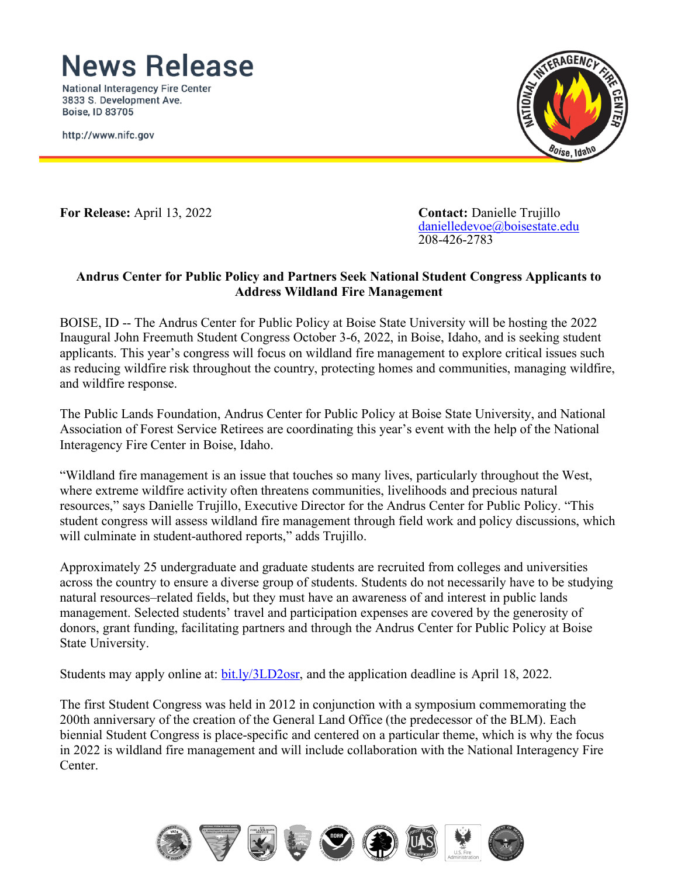## **News Release**

**National Interagency Fire Center** 3833 S. Development Ave. **Boise, ID 83705** 

http://www.nifc.gov



**For Release:** April 13, 2022 **Contact:** Danielle Trujillo

[danielledevoe@boisestate.edu](mailto:danielledevoe@boisestate.edu) 208-426-2783

#### **Andrus Center for Public Policy and Partners Seek National Student Congress Applicants to Address Wildland Fire Management**

BOISE, ID -- The Andrus Center for Public Policy at Boise State University will be hosting the 2022 Inaugural John Freemuth Student Congress October 3-6, 2022, in Boise, Idaho, and is seeking student applicants. This year's congress will focus on wildland fire management to explore critical issues such as reducing wildfire risk throughout the country, protecting homes and communities, managing wildfire, and wildfire response.

The Public Lands Foundation, Andrus Center for Public Policy at Boise State University, and National Association of Forest Service Retirees are coordinating this year's event with the help of the National Interagency Fire Center in Boise, Idaho.

"Wildland fire management is an issue that touches so many lives, particularly throughout the West, where extreme wildfire activity often threatens communities, livelihoods and precious natural resources," says Danielle Trujillo, Executive Director for the Andrus Center for Public Policy. "This student congress will assess wildland fire management through field work and policy discussions, which will culminate in student-authored reports," adds Trujillo.

Approximately 25 undergraduate and graduate students are recruited from colleges and universities across the country to ensure a diverse group of students. Students do not necessarily have to be studying natural resources–related fields, but they must have an awareness of and interest in public lands management. Selected students' travel and participation expenses are covered by the generosity of donors, grant funding, facilitating partners and through the Andrus Center for Public Policy at Boise State University.

Students may apply online at: [bit.ly/3LD2osr,](https://www.boisestate.edu/sps-andruscenter/events/john-freemuth-student-congress/) and the application deadline is April 18, 2022.

The first Student Congress was held in 2012 in conjunction with a symposium commemorating the 200th anniversary of the creation of the General Land Office (the predecessor of the BLM). Each biennial Student Congress is place-specific and centered on a particular theme, which is why the focus in 2022 is wildland fire management and will include collaboration with the National Interagency Fire Center.